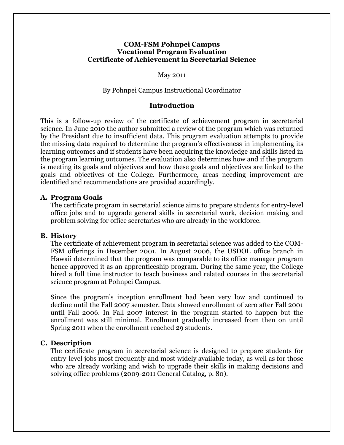### **COM-FSM Pohnpei Campus Vocational Program Evaluation Certificate of Achievement in Secretarial Science**

May 2011

#### By Pohnpei Campus Instructional Coordinator

#### **Introduction**

This is a follow-up review of the certificate of achievement program in secretarial science. In June 2010 the author submitted a review of the program which was returned by the President due to insufficient data. This program evaluation attempts to provide the missing data required to determine the program's effectiveness in implementing its learning outcomes and if students have been acquiring the knowledge and skills listed in the program learning outcomes. The evaluation also determines how and if the program is meeting its goals and objectives and how these goals and objectives are linked to the goals and objectives of the College. Furthermore, areas needing improvement are identified and recommendations are provided accordingly.

#### **A. Program Goals**

The certificate program in secretarial science aims to prepare students for entry-level office jobs and to upgrade general skills in secretarial work, decision making and problem solving for office secretaries who are already in the workforce.

#### **B. History**

The certificate of achievement program in secretarial science was added to the COM-FSM offerings in December 2001. In August 2006, the USDOL office branch in Hawaii determined that the program was comparable to its office manager program hence approved it as an apprenticeship program. During the same year, the College hired a full time instructor to teach business and related courses in the secretarial science program at Pohnpei Campus.

Since the program's inception enrollment had been very low and continued to decline until the Fall 2007 semester. Data showed enrollment of zero after Fall 2001 until Fall 2006. In Fall 2007 interest in the program started to happen but the enrollment was still minimal. Enrollment gradually increased from then on until Spring 2011 when the enrollment reached 29 students.

#### **C. Description**

The certificate program in secretarial science is designed to prepare students for entry-level jobs most frequently and most widely available today, as well as for those who are already working and wish to upgrade their skills in making decisions and solving office problems (2009-2011 General Catalog, p. 80).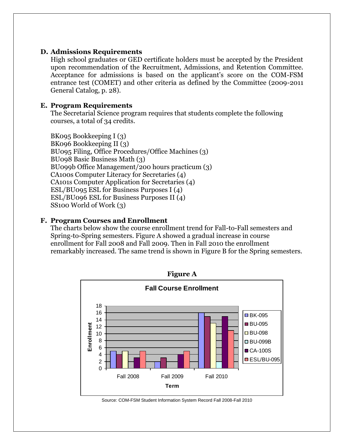### **D. Admissions Requirements**

High school graduates or GED certificate holders must be accepted by the President upon recommendation of the Recruitment, Admissions, and Retention Committee. Acceptance for admissions is based on the applicant's score on the COM-FSM entrance test (COMET) and other criteria as defined by the Committee (2009-2011 General Catalog, p. 28).

### **E. Program Requirements**

The Secretarial Science program requires that students complete the following courses, a total of 34 credits.

BK095 Bookkeeping I (3) BK096 Bookkeeping II (3) BU095 Filing, Office Procedures/Office Machines (3) BU098 Basic Business Math (3) BU099b Office Management/200 hours practicum (3) CA100s Computer Literacy for Secretaries (4) CA101s Computer Application for Secretaries (4) ESL/BU095 ESL for Business Purposes I (4) ESL/BU096 ESL for Business Purposes II (4) SS100 World of Work (3)

## **F. Program Courses and Enrollment**

The charts below show the course enrollment trend for Fall-to-Fall semesters and Spring-to-Spring semesters. Figure A showed a gradual increase in course enrollment for Fall 2008 and Fall 2009. Then in Fall 2010 the enrollment remarkably increased. The same trend is shown in Figure B for the Spring semesters.



Source: COM-FSM Student Information System Record Fall 2008-Fall 2010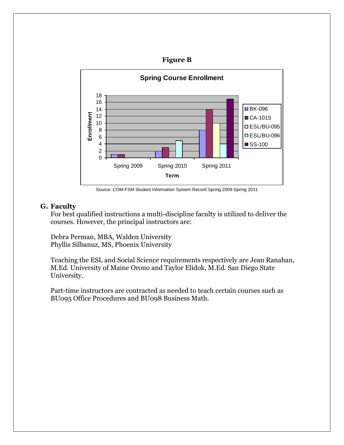



Source: COM-FSM Student Information System Record Spring 2009-Spring 2011

# **G. Faculty**

For best qualified instructions a multi-discipline faculty is utilized to deliver the courses. However, the principal instructors are:

Debra Perman, MBA, Walden University Phyllis Silbanuz, MS, Phoenix University

Teaching the ESL and Social Science requirements respectively are Jean Ranahan, M.Ed. University of Maine Orono and Taylor Elidok, M.Ed. San Diego State University.

Part-time instructors are contracted as needed to teach certain courses such as BU095 Office Procedures and BU098 Business Math.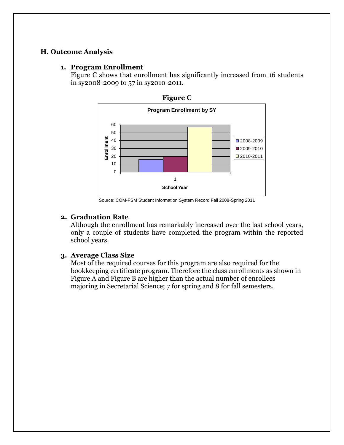## **H. Outcome Analysis**

#### **1. Program Enrollment**

Figure C shows that enrollment has significantly increased from 16 students in sy2008-2009 to 57 in sy2010-2011.





Source: COM-FSM Student Information System Record Fall 2008-Spring 2011

## **2. Graduation Rate**

Although the enrollment has remarkably increased over the last school years, only a couple of students have completed the program within the reported school years.

### **3. Average Class Size**

Most of the required courses for this program are also required for the bookkeeping certificate program. Therefore the class enrollments as shown in Figure A and Figure B are higher than the actual number of enrollees majoring in Secretarial Science; 7 for spring and 8 for fall semesters.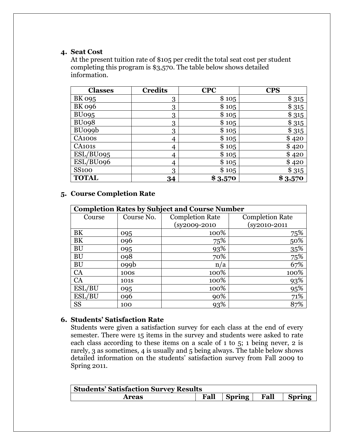### **4. Seat Cost**

At the present tuition rate of \$105 per credit the total seat cost per student completing this program is \$3,570. The table below shows detailed information.

| <b>Classes</b> | <b>Credits</b> | <b>CPC</b> | <b>CPS</b> |
|----------------|----------------|------------|------------|
| BK 095         | 3              | \$105      | \$315      |
| <b>BK 096</b>  | 3              | \$105      | \$315      |
| <b>BU095</b>   | 3              | \$105      | \$315      |
| BU098          | 3              | \$105      | \$315      |
| <b>BUo99b</b>  | 3              | \$105      | \$315      |
| CA100s         | 4              | \$105      | \$420      |
| <b>CA101s</b>  | 4              | \$105      | \$420      |
| ESL/BU095      | 4              | \$105      | \$420      |
| ESL/BU096      | 4              | \$105      | \$420      |
| <b>SS100</b>   | 3              | \$105      | \$315      |
| <b>TOTAL</b>   | 34             | \$3,570    | \$3,570    |

## **5. Course Completion Rate**

| <b>Completion Rates by Subject and Course Number</b> |                  |                        |                        |  |
|------------------------------------------------------|------------------|------------------------|------------------------|--|
| Course                                               | Course No.       | <b>Completion Rate</b> | <b>Completion Rate</b> |  |
|                                                      |                  | $(sy2009-2010)$        | (sy2010-2011           |  |
| BK                                                   | 095              | 100%                   | <u>75%</u>             |  |
| BK                                                   | 096              | 75%                    | 50%                    |  |
| <b>BU</b>                                            | 095              | 93%                    | $\frac{35\%}{75\%}$    |  |
| BU                                                   | 098              | 70%                    |                        |  |
| <b>BU</b>                                            | o99 <sub>b</sub> | n/a                    | 67%                    |  |
| CA                                                   | 100 <sub>S</sub> | 100%                   | 100%                   |  |
| CA                                                   | 101 <sub>S</sub> | 100%                   | 93%                    |  |
| ESL/BU                                               | 095              | 100%                   | 95%                    |  |
| ESL/BU                                               | 096              | 90%                    | 71%                    |  |
| <b>SS</b>                                            | 100              | 93%                    | 87%                    |  |

## **6. Students' Satisfaction Rate**

Students were given a satisfaction survey for each class at the end of every semester. There were 15 items in the survey and students were asked to rate each class according to these items on a scale of 1 to 5; 1 being never, 2 is rarely, 3 as sometimes, 4 is usually and 5 being always. The table below shows detailed information on the students' satisfaction survey from Fall 2009 to Spring 2011.

| <b>Students' Satisfaction Survey Results</b> |      |             |  |               |  |
|----------------------------------------------|------|-------------|--|---------------|--|
| <b>Areas</b>                                 | Fall | Spring Fall |  | <b>Spring</b> |  |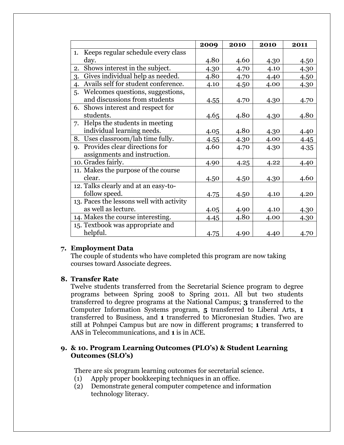|                                           | 2009 | 2010 | 2010 | 2011 |
|-------------------------------------------|------|------|------|------|
| Keeps regular schedule every class<br>1.  |      |      |      |      |
| day.                                      | 4.80 | 4.60 | 4.30 | 4.50 |
| Shows interest in the subject.<br>2.      | 4.30 | 4.70 | 4.10 | 4.30 |
| Gives individual help as needed.<br>3.    | 4.80 | 4.70 | 4.40 | 4.50 |
| Avails self for student conference.<br>4. | 4.10 | 4.50 | 4.00 | 4.30 |
| Welcomes questions, suggestions,<br>5.    |      |      |      |      |
| and discussions from students             | 4.55 | 4.70 | 4.30 | 4.70 |
| 6. Shows interest and respect for         |      |      |      |      |
| students.                                 | 4.65 | 4.80 | 4.30 | 4.80 |
| 7. Helps the students in meeting          |      |      |      |      |
| individual learning needs.                | 4.05 | 4.80 | 4.30 | 4.40 |
| 8. Uses classroom/lab time fully.         | 4.55 | 4.30 | 4.00 | 4.45 |
| Provides clear directions for<br>9.       | 4.60 | 4.70 | 4.30 | 4.35 |
| assignments and instruction.              |      |      |      |      |
| 10. Grades fairly.                        | 4.90 | 4.25 | 4.22 | 4.40 |
| 11. Makes the purpose of the course       |      |      |      |      |
| clear.                                    | 4.50 | 4.50 | 4.30 | 4.60 |
| 12. Talks clearly and at an easy-to-      |      |      |      |      |
| follow speed.                             | 4.75 | 4.50 | 4.10 | 4.20 |
| 13. Paces the lessons well with activity  |      |      |      |      |
| as well as lecture.                       | 4.05 | 4.90 | 4.10 | 4.30 |
| 14. Makes the course interesting.         | 4.45 | 4.80 | 4.00 | 4.30 |
| 15. Textbook was appropriate and          |      |      |      |      |
| helpful.                                  | 4.75 | 4.90 | 4.40 | 4.70 |

### **7. Employment Data**

The couple of students who have completed this program are now taking courses toward Associate degrees.

### **8. Transfer Rate**

Twelve students transferred from the Secretarial Science program to degree programs between Spring 2008 to Spring 2011. All but two students transferred to degree programs at the National Campus; **3** transferred to the Computer Information Systems program, **5** transferred to Liberal Arts, **1** transferred to Business, and **1** transferred to Micronesian Studies. Two are still at Pohnpei Campus but are now in different programs; **1** transferred to AAS in Telecommunications, and **1** is in ACE.

## **9. & 10. Program Learning Outcomes (PLO's) & Student Learning Outcomes (SLO's)**

There are six program learning outcomes for secretarial science.

- (1) Apply proper bookkeeping techniques in an office.
- (2) Demonstrate general computer competence and information technology literacy.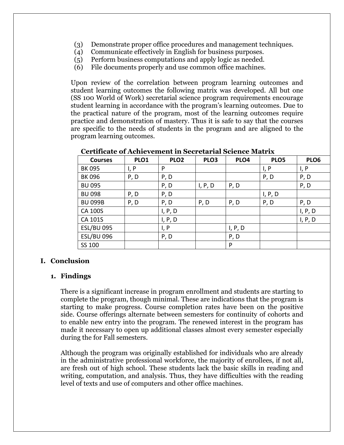- (3) Demonstrate proper office procedures and management techniques.
- (4) Communicate effectively in English for business purposes.
- (5) Perform business computations and apply logic as needed.
- (6) File documents properly and use common office machines.

Upon review of the correlation between program learning outcomes and student learning outcomes the following matrix was developed. All but one (SS 100 World of Work) secretarial science program requirements encourage student learning in accordance with the program's learning outcomes. Due to the practical nature of the program, most of the learning outcomes require practice and demonstration of mastery. Thus it is safe to say that the courses are specific to the needs of students in the program and are aligned to the program learning outcomes.

| <b>Courses</b>    | PLO1 | PLO <sub>2</sub> | PLO <sub>3</sub> | PLO4    | PLO5    | PLO6    |
|-------------------|------|------------------|------------------|---------|---------|---------|
| <b>BK 095</b>     | I, P | P                |                  |         | I, P    | I, P    |
| <b>BK 096</b>     | P, D | P, D             |                  |         | P, D    | P, D    |
| <b>BU 095</b>     |      | P, D             | I, P, D          | P, D    |         | P, D    |
| <b>BU 098</b>     | P, D | P, D             |                  |         | I, P, D |         |
| <b>BU 099B</b>    | P, D | P, D             | P, D             | P, D    | P, D    | P, D    |
| <b>CA 100S</b>    |      | I, P, D          |                  |         |         | I, P, D |
| CA 101S           |      | I, P, D          |                  |         |         | I, P, D |
| <b>ESL/BU 095</b> |      | I, P             |                  | I, P, D |         |         |
| <b>ESL/BU 096</b> |      | P, D             |                  | P, D    |         |         |
| SS 100            |      |                  |                  | P       |         |         |

**Certificate of Achievement in Secretarial Science Matrix**

### **I. Conclusion**

### **1. Findings**

There is a significant increase in program enrollment and students are starting to complete the program, though minimal. These are indications that the program is starting to make progress. Course completion rates have been on the positive side. Course offerings alternate between semesters for continuity of cohorts and to enable new entry into the program. The renewed interest in the program has made it necessary to open up additional classes almost every semester especially during the for Fall semesters.

Although the program was originally established for individuals who are already in the administrative professional workforce, the majority of enrollees, if not all, are fresh out of high school. These students lack the basic skills in reading and writing, computation, and analysis. Thus, they have difficulties with the reading level of texts and use of computers and other office machines.